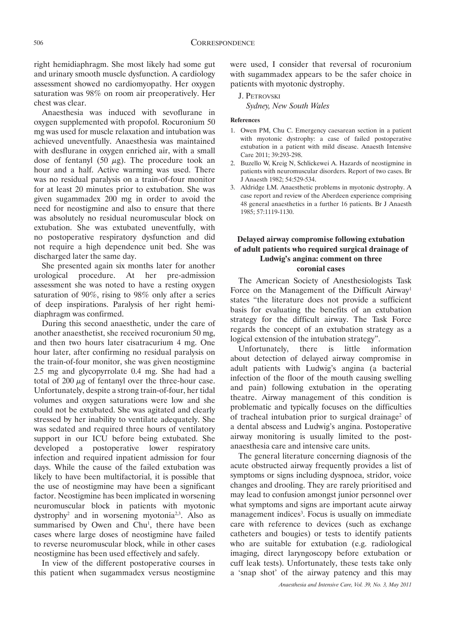right hemidiaphragm. She most likely had some gut and urinary smooth muscle dysfunction. A cardiology assessment showed no cardiomyopathy. Her oxygen saturation was 98% on room air preoperatively. Her chest was clear.

Anaesthesia was induced with sevoflurane in oxygen supplemented with propofol. Rocuronium 50 mg was used for muscle relaxation and intubation was achieved uneventfully. Anaesthesia was maintained with desflurane in oxygen enriched air, with a small dose of fentanyl  $(50 \mu g)$ . The procedure took an hour and a half. Active warming was used. There was no residual paralysis on a train-of-four monitor for at least 20 minutes prior to extubation. She was given sugammadex 200 mg in order to avoid the need for neostigmine and also to ensure that there was absolutely no residual neuromuscular block on extubation. She was extubated uneventfully, with no postoperative respiratory dysfunction and did not require a high dependence unit bed. She was discharged later the same day.

She presented again six months later for another urological procedure. At her pre-admission assessment she was noted to have a resting oxygen saturation of 90%, rising to 98% only after a series of deep inspirations. Paralysis of her right hemidiaphragm was confirmed.

During this second anaesthetic, under the care of another anaesthetist, she received rocuronium 50 mg, and then two hours later cisatracurium 4 mg. One hour later, after confirming no residual paralysis on the train-of-four monitor, she was given neostigmine 2.5 mg and glycopyrrolate 0.4 mg. She had had a total of 200  $\mu$ g of fentanyl over the three-hour case. Unfortunately, despite a strong train-of-four, her tidal volumes and oxygen saturations were low and she could not be extubated. She was agitated and clearly stressed by her inability to ventilate adequately. She was sedated and required three hours of ventilatory support in our ICU before being extubated. She developed a postoperative lower respiratory infection and required inpatient admission for four days. While the cause of the failed extubation was likely to have been multifactorial, it is possible that the use of neostigmine may have been a significant factor. Neostigmine has been implicated in worsening neuromuscular block in patients with myotonic dystrophy<sup>2</sup> and in worsening myotonia<sup>2,3</sup>. Also as summarised by Owen and Chu<sup>1</sup>, there have been cases where large doses of neostigmine have failed to reverse neuromuscular block, while in other cases neostigmine has been used effectively and safely.

In view of the different postoperative courses in this patient when sugammadex versus neostigmine were used, I consider that reversal of rocuronium with sugammadex appears to be the safer choice in patients with myotonic dystrophy.

J. Petrovski *Sydney, New South Wales*

## **References**

- 1. Owen PM, Chu C. Emergency caesarean section in a patient with myotonic dystrophy: a case of failed postoperative extubation in a patient with mild disease. Anaesth Intensive Care 2011; 39:293-298.
- 2. Buzello W, Kreig N, Schlickewei A. Hazards of neostigmine in patients with neuromuscular disorders. Report of two cases. Br J Anaesth 1982; 54:529-534.
- 3. Aldridge LM. Anaesthetic problems in myotonic dystrophy. A case report and review of the Aberdeen experience comprising 48 general anaesthetics in a further 16 patients. Br J Anaesth 1985; 57:1119-1130.

## **Delayed airway compromise following extubation of adult patients who required surgical drainage of Ludwig's angina: comment on three coronial cases**

The American Society of Anesthesiologists Task Force on the Management of the Difficult Airway<sup>1</sup> states "the literature does not provide a sufficient basis for evaluating the benefits of an extubation strategy for the difficult airway. The Task Force regards the concept of an extubation strategy as a logical extension of the intubation strategy".

Unfortunately, there is little information about detection of delayed airway compromise in adult patients with Ludwig's angina (a bacterial infection of the floor of the mouth causing swelling and pain) following extubation in the operating theatre. Airway management of this condition is problematic and typically focuses on the difficulties of tracheal intubation prior to surgical drainage<sup>2</sup> of a dental abscess and Ludwig's angina. Postoperative airway monitoring is usually limited to the postanaesthesia care and intensive care units.

The general literature concerning diagnosis of the acute obstructed airway frequently provides a list of symptoms or signs including dyspnoea, stridor, voice changes and drooling. They are rarely prioritised and may lead to confusion amongst junior personnel over what symptoms and signs are important acute airway management indices<sup>3</sup>. Focus is usually on immediate care with reference to devices (such as exchange catheters and bougies) or tests to identify patients who are suitable for extubation (e.g. radiological imaging, direct laryngoscopy before extubation or cuff leak tests). Unfortunately, these tests take only a 'snap shot' of the airway patency and this may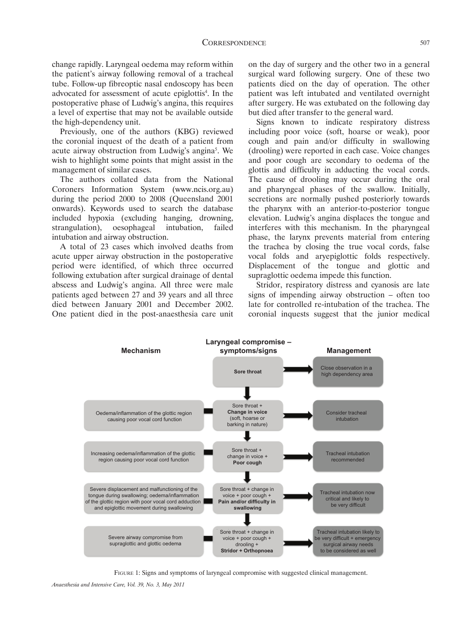## CORRESPONDENCE 507

change rapidly. Laryngeal oedema may reform within the patient's airway following removal of a tracheal tube. Follow-up fibreoptic nasal endoscopy has been advocated for assessment of acute epiglottis<sup>4</sup>. In the postoperative phase of Ludwig's angina, this requires a level of expertise that may not be available outside the high-dependency unit.

Previously, one of the authors (KBG) reviewed the coronial inquest of the death of a patient from acute airway obstruction from Ludwig's angina<sup>5</sup>. We wish to highlight some points that might assist in the management of similar cases.

The authors collated data from the National Coroners Information System (www.ncis.org.au) during the period 2000 to 2008 (Queensland 2001 onwards). Keywords used to search the database included hypoxia (excluding hanging, drowning, strangulation), oesophageal intubation, failed intubation and airway obstruction.

A total of 23 cases which involved deaths from acute upper airway obstruction in the postoperative period were identified, of which three occurred following extubation after surgical drainage of dental abscess and Ludwig's angina. All three were male patients aged between 27 and 39 years and all three died between January 2001 and December 2002. One patient died in the post-anaesthesia care unit on the day of surgery and the other two in a general surgical ward following surgery. One of these two patients died on the day of operation. The other patient was left intubated and ventilated overnight after surgery. He was extubated on the following day but died after transfer to the general ward.

Signs known to indicate respiratory distress including poor voice (soft, hoarse or weak), poor cough and pain and/or difficulty in swallowing (drooling) were reported in each case. Voice changes and poor cough are secondary to oedema of the glottis and difficulty in adducting the vocal cords. The cause of drooling may occur during the oral and pharyngeal phases of the swallow. Initially, secretions are normally pushed posteriorly towards the pharynx with an anterior-to-posterior tongue elevation. Ludwig's angina displaces the tongue and interferes with this mechanism. In the pharyngeal phase, the larynx prevents material from entering the trachea by closing the true vocal cords, false vocal folds and aryepiglottic folds respectively. Displacement of the tongue and glottic and supraglottic oedema impede this function.

Stridor, respiratory distress and cyanosis are late signs of impending airway obstruction – often too late for controlled re-intubation of the trachea. The coronial inquests suggest that the junior medical



Figure 1: Signs and symptoms of laryngeal compromise with suggested clinical management.